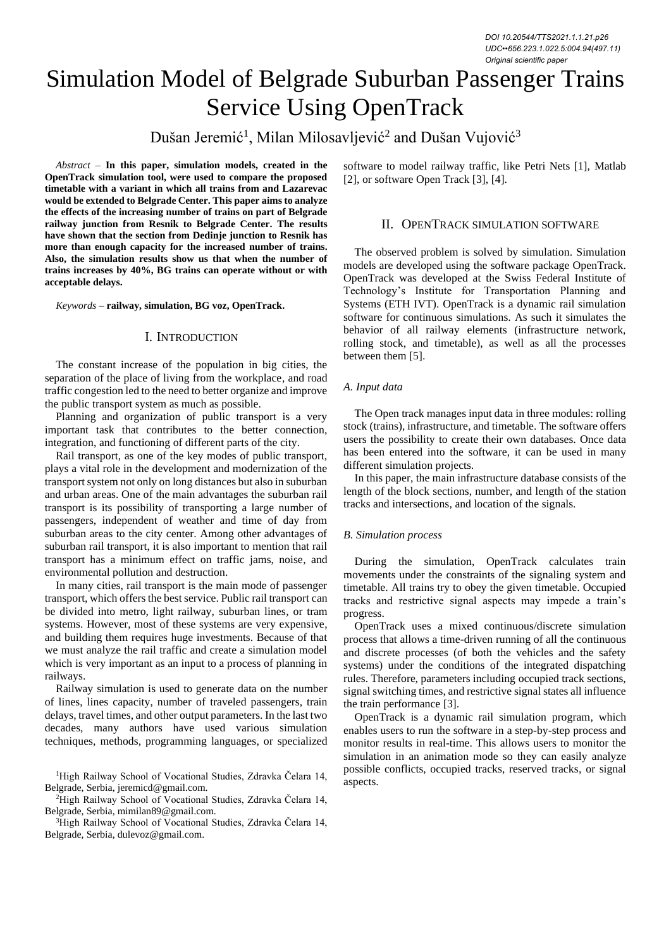# Simulation Model of Belgrade Suburban Passenger Trains Service Using OpenTrack

Dušan Jeremić<sup>1</sup>, Milan Milosavljević<sup>2</sup> and Dušan Vujović<sup>3</sup>

*Abstract –* **In this paper, simulation models, created in the OpenTrack simulation tool, were used to compare the proposed timetable with a variant in which all trains from and Lazarevac would be extended to Belgrade Center. This paper aims to analyze the effects of the increasing number of trains on part of Belgrade railway junction from Resnik to Belgrade Center. The results have shown that the section from Dedinje junction to Resnik has more than enough capacity for the increased number of trains. Also, the simulation results show us that when the number of trains increases by 40%, BG trains can operate without or with acceptable delays.** 

*Keywords –* **railway, simulation, BG voz, OpenTrack.**

# I. INTRODUCTION

The constant increase of the population in big cities, the separation of the place of living from the workplace, and road traffic congestion led to the need to better organize and improve the public transport system as much as possible.

Planning and organization of public transport is a very important task that contributes to the better connection, integration, and functioning of different parts of the city.

Rail transport, as one of the key modes of public transport, plays a vital role in the development and modernization of the transport system not only on long distances but also in suburban and urban areas. One of the main advantages the suburban rail transport is its possibility of transporting a large number of passengers, independent of weather and time of day from suburban areas to the city center. Among other advantages of suburban rail transport, it is also important to mention that rail transport has a minimum effect on traffic jams, noise, and environmental pollution and destruction.

In many cities, rail transport is the main mode of passenger transport, which offers the best service. Public rail transport can be divided into metro, light railway, suburban lines, or tram systems. However, most of these systems are very expensive, and building them requires huge investments. Because of that we must analyze the rail traffic and create a simulation model which is very important as an input to a process of planning in railways.

Railway simulation is used to generate data on the number of lines, lines capacity, number of traveled passengers, train delays, travel times, and other output parameters. In the last two decades, many authors have used various simulation techniques, methods, programming languages, or specialized

<sup>1</sup>High Railway School of Vocational Studies, Zdravka Čelara 14, Belgrade, Serbia, jeremicd@gmail.com.

<sup>2</sup>High Railway School of Vocational Studies, Zdravka Čelara 14, Belgrade, Serbia, mimilan89@gmail.com.

<sup>3</sup>High Railway School of Vocational Studies, Zdravka Čelara 14, Belgrade, Serbia, dulevoz@gmail.com.

software to model railway traffic, like Petri Nets [1], Matlab [2], or software Open Track [3], [4].

## II. OPENTRACK SIMULATION SOFTWARE

The observed problem is solved by simulation. Simulation models are developed using the software package OpenTrack. OpenTrack was developed at the Swiss Federal Institute of Technology's Institute for Transportation Planning and Systems (ETH IVT). OpenTrack is a dynamic rail simulation software for continuous simulations. As such it simulates the behavior of all railway elements (infrastructure network, rolling stock, and timetable), as well as all the processes between them [5].

#### *A. Input data*

The Open track manages input data in three modules: rolling stock (trains), infrastructure, and timetable. The software offers users the possibility to create their own databases. Once data has been entered into the software, it can be used in many different simulation projects.

In this paper, the main infrastructure database consists of the length of the block sections, number, and length of the station tracks and intersections, and location of the signals.

#### *B. Simulation process*

During the simulation, OpenTrack calculates train movements under the constraints of the signaling system and timetable. All trains try to obey the given timetable. Occupied tracks and restrictive signal aspects may impede a train's progress.

OpenTrack uses a mixed continuous/discrete simulation process that allows a time-driven running of all the continuous and discrete processes (of both the vehicles and the safety systems) under the conditions of the integrated dispatching rules. Therefore, parameters including occupied track sections, signal switching times, and restrictive signal states all influence the train performance [3].

OpenTrack is a dynamic rail simulation program, which enables users to run the software in a step-by-step process and monitor results in real-time. This allows users to monitor the simulation in an animation mode so they can easily analyze possible conflicts, occupied tracks, reserved tracks, or signal aspects.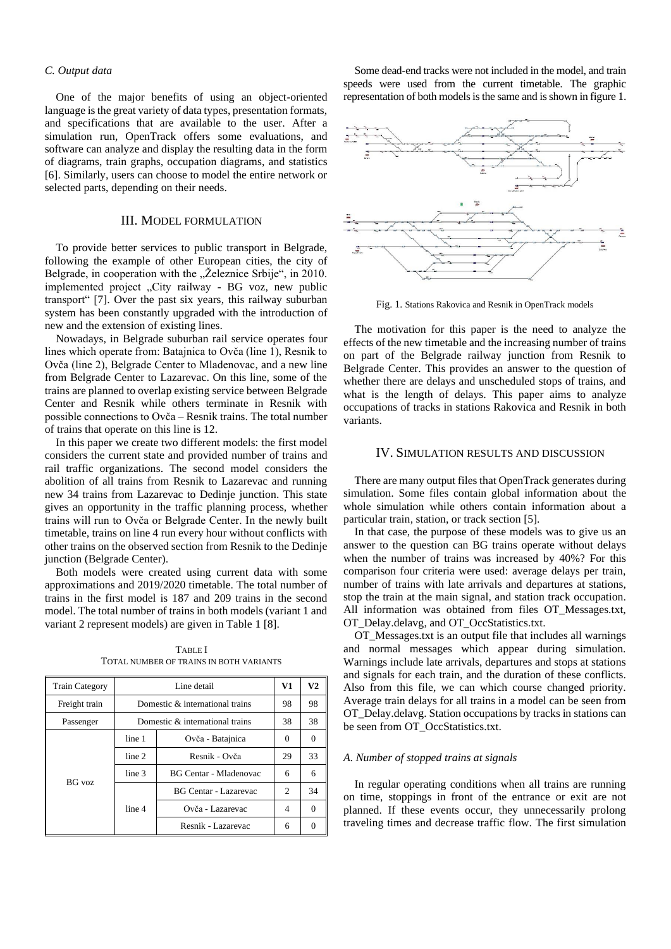## *C. Output data*

One of the major benefits of using an object-oriented language is the great variety of data types, presentation formats, and specifications that are available to the user. After a simulation run, OpenTrack offers some evaluations, and software can analyze and display the resulting data in the form of diagrams, train graphs, occupation diagrams, and statistics [6]. Similarly, users can choose to model the entire network or selected parts, depending on their needs.

## III. MODEL FORMULATION

To provide better services to public transport in Belgrade, following the example of other European cities, the city of Belgrade, in cooperation with the "Železnice Srbije", in 2010. implemented project "City railway - BG voz, new public transport" [7]. Over the past six years, this railway suburban system has been constantly upgraded with the introduction of new and the extension of existing lines.

Nowadays, in Belgrade suburban rail service operates four lines which operate from: Batajnica to Ovča (line 1), Resnik to Ovča (line 2), Belgrade Center to Mladenovac, and a new line from Belgrade Center to Lazarevac. On this line, some of the trains are planned to overlap existing service between Belgrade Center and Resnik while others terminate in Resnik with possible connections to Ovča – Resnik trains. The total number of trains that operate on this line is 12.

In this paper we create two different models: the first model considers the current state and provided number of trains and rail traffic organizations. The second model considers the abolition of all trains from Resnik to Lazarevac and running new 34 trains from Lazarevac to Dedinje junction. This state gives an opportunity in the traffic planning process, whether trains will run to Ovča or Belgrade Center. In the newly built timetable, trains on line 4 run every hour without conflicts with other trains on the observed section from Resnik to the Dedinje junction (Belgrade Center).

Both models were created using current data with some approximations and 2019/2020 timetable. The total number of trains in the first model is 187 and 209 trains in the second model. The total number of trains in both models (variant 1 and variant 2 represent models) are given in Table 1 [8].

TABLE I TOTAL NUMBER OF TRAINS IN BOTH VARIANTS

| <b>Train Category</b> |        | Line detail                     | V1       | V2       |
|-----------------------|--------|---------------------------------|----------|----------|
| Freight train         |        | Domestic & international trains | 98       | 98       |
| Passenger             |        | Domestic & international trains | 38       | 38       |
| BG voz                | line 1 | Ovča - Batajnica                | $\Omega$ | 0        |
|                       | line 2 | Resnik - Ovča                   | 29       | 33       |
|                       | line 3 | <b>BG Centar - Mladenovac</b>   | 6        | 6        |
|                       |        | <b>BG Centar - Lazarevac</b>    | 2        | 34       |
|                       | line 4 | Ovča - Lazarevac                | 4        | 0        |
|                       |        | Resnik - Lazarevac              | 6        | $\Omega$ |

Some dead-end tracks were not included in the model, and train speeds were used from the current timetable. The graphic representation of both models is the same and is shown in figure 1.



Fig. 1. Stations Rakovica and Resnik in OpenTrack models

The motivation for this paper is the need to analyze the effects of the new timetable and the increasing number of trains on part of the Belgrade railway junction from Resnik to Belgrade Center. This provides an answer to the question of whether there are delays and unscheduled stops of trains, and what is the length of delays. This paper aims to analyze occupations of tracks in stations Rakovica and Resnik in both variants.

# IV. SIMULATION RESULTS AND DISCUSSION

There are many output files that OpenTrack generates during simulation. Some files contain global information about the whole simulation while others contain information about a particular train, station, or track section [5].

In that case, the purpose of these models was to give us an answer to the question can BG trains operate without delays when the number of trains was increased by 40%? For this comparison four criteria were used: average delays per train, number of trains with late arrivals and departures at stations, stop the train at the main signal, and station track occupation. All information was obtained from files OT\_Messages.txt, OT\_Delay.delavg, and OT\_OccStatistics.txt.

OT\_Messages.txt is an output file that includes all warnings and normal messages which appear during simulation. Warnings include late arrivals, departures and stops at stations and signals for each train, and the duration of these conflicts. Also from this file, we can which course changed priority. Average train delays for all trains in a model can be seen from OT\_Delay.delavg. Station occupations by tracks in stations can be seen from OT\_OccStatistics.txt.

## *A. Number of stopped trains at signals*

In regular operating conditions when all trains are running on time, stoppings in front of the entrance or exit are not planned. If these events occur, they unnecessarily prolong traveling times and decrease traffic flow. The first simulation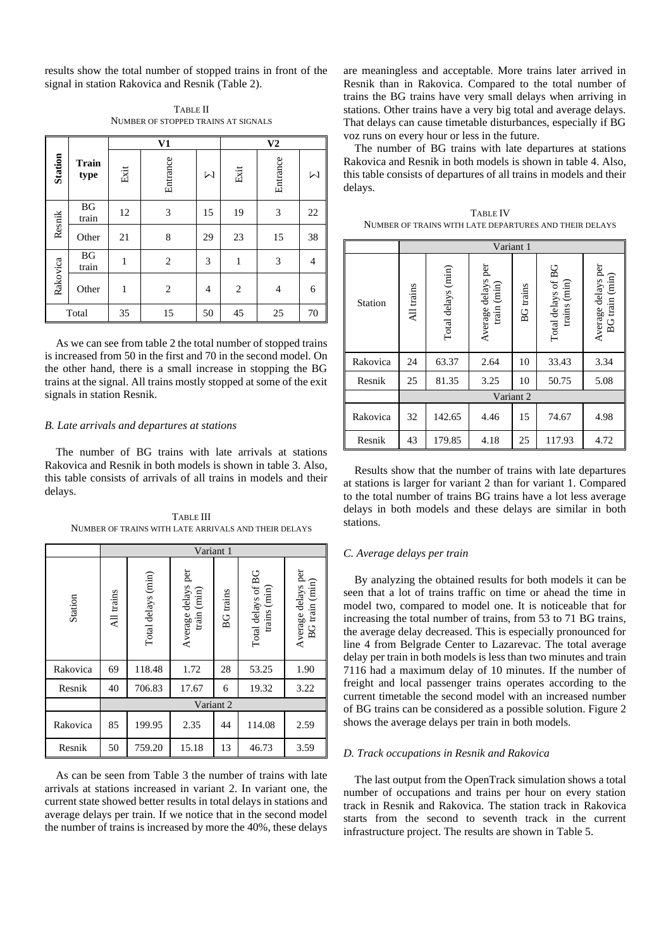results show the total number of stopped trains in front of the signal in station Rakovica and Resnik (Table 2).

TABLE II NUMBER OF STOPPED TRAINS AT SIGNALS

|          |                                 |      | V1             | V <sub>2</sub>                                                                                                                                                                                                                                                                                                                                                                                                                                           |                |                |                |
|----------|---------------------------------|------|----------------|----------------------------------------------------------------------------------------------------------------------------------------------------------------------------------------------------------------------------------------------------------------------------------------------------------------------------------------------------------------------------------------------------------------------------------------------------------|----------------|----------------|----------------|
| Station  | <b>Train</b><br>type            | Exit | Entrance       | $\mathsf{M}% _{T}=\mathsf{M}_{T}\!\left( a,b\right) ,\ \mathsf{M}_{T}=\mathsf{M}_{T}\!\left( a,b\right) ,\ \mathsf{M}_{T}=\mathsf{M}_{T}\!\left( a,b\right) ,\ \mathsf{M}_{T}=\mathsf{M}_{T}\!\left( a,b\right) ,\ \mathsf{M}_{T}=\mathsf{M}_{T}\!\left( a,b\right) ,\ \mathsf{M}_{T}=\mathsf{M}_{T}\!\left( a,b\right) ,\ \mathsf{M}_{T}=\mathsf{M}_{T}\!\left( a,b\right) ,\ \mathsf{M}_{T}=\mathsf{M}_{T}\!\left( a,b\right) ,\ \mathsf{M}_{T}=\math$ | Exit           | Entrance       | Ν              |
| Resnik   | <b>BG</b><br>train              | 12   | 3              | 15                                                                                                                                                                                                                                                                                                                                                                                                                                                       | 19             | 3              | 22             |
|          | Other                           | 21   | 8              | 29                                                                                                                                                                                                                                                                                                                                                                                                                                                       | 23             | 15             | 38             |
|          | $\mathbf{B}\mathbf{G}$<br>train | 1    | $\overline{2}$ | 3                                                                                                                                                                                                                                                                                                                                                                                                                                                        | $\,1$          | 3              | $\overline{4}$ |
| Rakovica | Other                           | 1    | 2              | $\overline{4}$                                                                                                                                                                                                                                                                                                                                                                                                                                           | $\overline{c}$ | $\overline{4}$ | 6              |
|          | Total                           | 35   | 15             | 50                                                                                                                                                                                                                                                                                                                                                                                                                                                       | 45             | 25             | 70             |

As we can see from table 2 the total number of stopped trains is increased from 50 in the first and 70 in the second model. On the other hand, there is a small increase in stopping the BG trains at the signal. All trains mostly stopped at some of the exit signals in station Resnik.

#### *B. Late arrivals and departures at stations*

The number of BG trains with late arrivals at stations Rakovica and Resnik in both models is shown in table 3. Also, this table consists of arrivals of all trains in models and their delays.

TABLE III NUMBER OF TRAINS WITH LATE ARRIVALS AND THEIR DELAYS

|          | Variant 1  |                    |                                   |                  |                                    |                                      |  |
|----------|------------|--------------------|-----------------------------------|------------------|------------------------------------|--------------------------------------|--|
| Station  | All trains | Total delays (min) | Average delays per<br>train (min) | <b>BG</b> trains | Total delays of BG<br>trains (min) | Average delays per<br>BG train (min) |  |
| Rakovica | 69         | 118.48             | 1.72                              | 28               | 53.25                              | 1.90                                 |  |
| Resnik   | 40         | 706.83             | 17.67                             | 6                | 19.32                              | 3.22                                 |  |
|          | Variant 2  |                    |                                   |                  |                                    |                                      |  |
| Rakovica | 85         | 199.95             | 2.35                              | 44               | 114.08                             | 2.59                                 |  |
| Resnik   | 50         | 759.20             | 15.18                             | 13               | 46.73                              | 3.59                                 |  |

As can be seen from Table 3 the number of trains with late arrivals at stations increased in variant 2. In variant one, the current state showed better results in total delays in stations and average delays per train. If we notice that in the second model the number of trains is increased by more the 40%, these delays

are meaningless and acceptable. More trains later arrived in Resnik than in Rakovica. Compared to the total number of trains the BG trains have very small delays when arriving in stations. Other trains have a very big total and average delays. That delays can cause timetable disturbances, especially if BG voz runs on every hour or less in the future.

The number of BG trains with late departures at stations Rakovica and Resnik in both models is shown in table 4. Also, this table consists of departures of all trains in models and their delays.

| TABLE IV                                               |
|--------------------------------------------------------|
| NUMBER OF TRAINS WITH LATE DEPARTURES AND THEIR DELAYS |

|          | Variant 1  |                    |                                   |                  |                                    |                                      |  |
|----------|------------|--------------------|-----------------------------------|------------------|------------------------------------|--------------------------------------|--|
| Station  | All trains | Total delays (min) | Average delays per<br>train (min) | <b>BG</b> trains | Total delays of BG<br>trains (min) | Average delays per<br>BG train (min) |  |
| Rakovica | 24         | 63.37              | 2.64                              | 10               | 33.43                              | 3.34                                 |  |
| Resnik   | 25         | 81.35              | 3.25                              | 10               | 50.75                              | 5.08                                 |  |
|          | Variant 2  |                    |                                   |                  |                                    |                                      |  |
| Rakovica | 32         | 142.65             | 4.46                              | 15               | 74.67                              | 4.98                                 |  |
| Resnik   | 43         | 179.85             | 4.18                              | 25               | 117.93                             | 4.72                                 |  |

Results show that the number of trains with late departures at stations is larger for variant 2 than for variant 1. Compared to the total number of trains BG trains have a lot less average delays in both models and these delays are similar in both stations.

### *C. Average delays per train*

By analyzing the obtained results for both models it can be seen that a lot of trains traffic on time or ahead the time in model two, compared to model one. It is noticeable that for increasing the total number of trains, from 53 to 71 BG trains, the average delay decreased. This is especially pronounced for line 4 from Belgrade Center to Lazarevac. The total average delay per train in both models is less than two minutes and train 7116 had a maximum delay of 10 minutes. If the number of freight and local passenger trains operates according to the current timetable the second model with an increased number of BG trains can be considered as a possible solution. Figure 2 shows the average delays per train in both models.

### *D. Track occupations in Resnik and Rakovica*

The last output from the OpenTrack simulation shows a total number of occupations and trains per hour on every station track in Resnik and Rakovica. The station track in Rakovica starts from the second to seventh track in the current infrastructure project. The results are shown in Table 5.